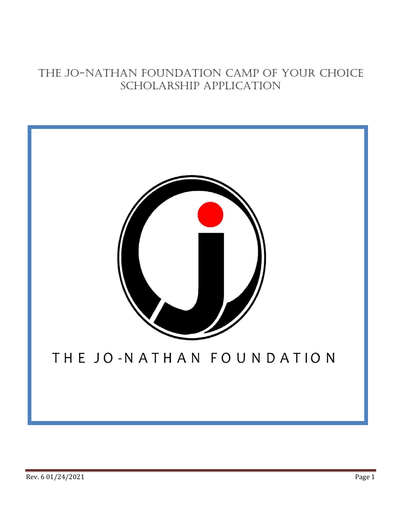## The Jo-Nathan Foundation camp of your choice scholarship application

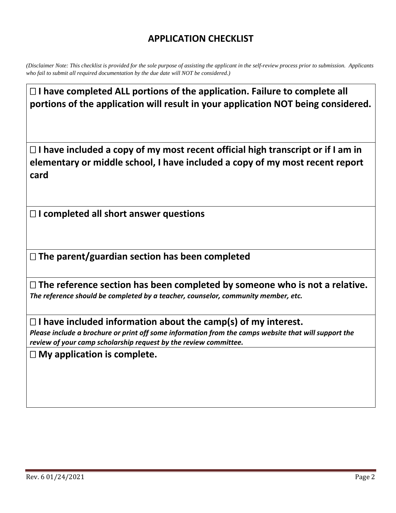## **APPLICATION CHECKLIST**

*(Disclaimer Note: This checklist is provided for the sole purpose of assisting the applicant in the self-review process prior to submission. Applicants who fail to submit all required documentation by the due date will NOT be considered.)*

□ I have completed ALL portions of the application. Failure to complete all **portions of the application will result in your application NOT being considered.**

 **I have included a copy of my most recent official high transcript or if I am in elementary or middle school, I have included a copy of my most recent report card**

**I completed all short answer questions**

**The parent/guardian section has been completed**

 **The reference section has been completed by someone who is not a relative.**  *The reference should be completed by a teacher, counselor, community member, etc.*

**I have included information about the camp(s) of my interest.**

*Please include a brochure or print off some information from the camps website that will support the review of your camp scholarship request by the review committee.*

**My application is complete.**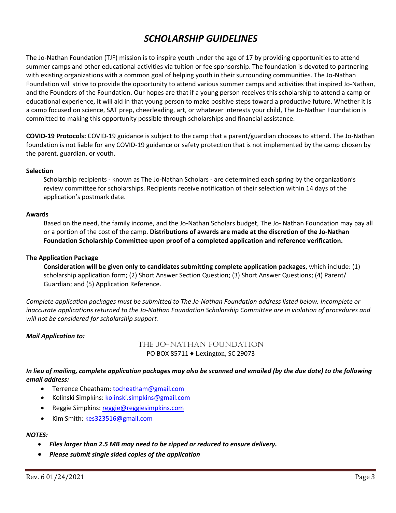## *SCHOLARSHIP GUIDELINES*

The Jo-Nathan Foundation (TJF) mission is to inspire youth under the age of 17 by providing opportunities to attend summer camps and other educational activities via tuition or fee sponsorship. The foundation is devoted to partnering with existing organizations with a common goal of helping youth in their surrounding communities. The Jo-Nathan Foundation will strive to provide the opportunity to attend various summer camps and activities that inspired Jo-Nathan, and the Founders of the Foundation. Our hopes are that if a young person receives this scholarship to attend a camp or educational experience, it will aid in that young person to make positive steps toward a productive future. Whether it is a camp focused on science, SAT prep, cheerleading, art, or whatever interests your child, The Jo-Nathan Foundation is committed to making this opportunity possible through scholarships and financial assistance.

**COVID-19 Protocols:** COVID-19 guidance is subject to the camp that a parent/guardian chooses to attend. The Jo-Nathan foundation is not liable for any COVID-19 guidance or safety protection that is not implemented by the camp chosen by the parent, guardian, or youth.

#### **Selection**

Scholarship recipients - known as The Jo-Nathan Scholars - are determined each spring by the organization's review committee for scholarships. Recipients receive notification of their selection within 14 days of the application's postmark date.

#### **Awards**

Based on the need, the family income, and the Jo-Nathan Scholars budget, The Jo- Nathan Foundation may pay all or a portion of the cost of the camp. **Distributions of awards are made at the discretion of the Jo-Nathan Foundation Scholarship Committee upon proof of a completed application and reference verification.**

#### **The Application Package**

**Consideration will be given only to candidates submitting complete application packages**, which include: (1) scholarship application form; (2) Short Answer Section Question; (3) Short Answer Questions; (4) Parent/ Guardian; and (5) Application Reference.

*Complete application packages must be submitted to The Jo-Nathan Foundation address listed below. Incomplete or inaccurate applications returned to the Jo-Nathan Foundation Scholarship Committee are in violation of procedures and will not be considered for scholarship support.* 

#### *Mail Application to:*

The Jo-Nathan Foundation PO BOX 85711 ♦ Lexington, SC 29073

*In lieu of mailing, complete application packages may also be scanned and emailed (by the due date) to the following email address:* 

- Terrence Cheatham: tocheatham@gmail.com
- Kolinski Simpkins: kolinski.simpkins@gmail.com
- Reggie Simpkins: reggie@reggiesimpkins.com
- Kim Smith: kes323516@gmail.com

#### *NOTES:*

- *Files larger than 2.5 MB may need to be zipped or reduced to ensure delivery.*
- *Please submit single sided copies of the application*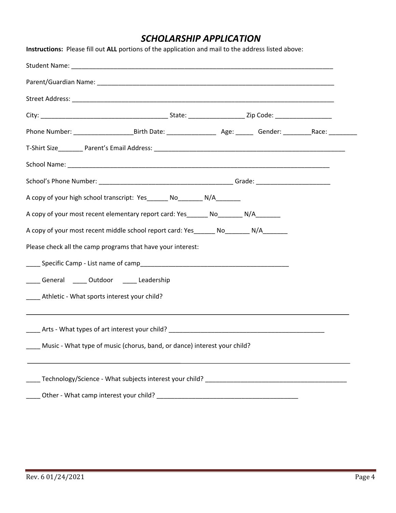## *SCHOLARSHIP APPLICATION*

| Instructions: Please fill out ALL portions of the application and mail to the address listed above:            |  |  |  |  |  |  |  |
|----------------------------------------------------------------------------------------------------------------|--|--|--|--|--|--|--|
|                                                                                                                |  |  |  |  |  |  |  |
|                                                                                                                |  |  |  |  |  |  |  |
|                                                                                                                |  |  |  |  |  |  |  |
|                                                                                                                |  |  |  |  |  |  |  |
| Phone Number: _________________________Birth Date: _______________________________Gender: ____________________ |  |  |  |  |  |  |  |
|                                                                                                                |  |  |  |  |  |  |  |
|                                                                                                                |  |  |  |  |  |  |  |
|                                                                                                                |  |  |  |  |  |  |  |
| A copy of your high school transcript: Yes_______ No________ N/A________                                       |  |  |  |  |  |  |  |
| A copy of your most recent elementary report card: Yes ________ No ________ N/A                                |  |  |  |  |  |  |  |
| A copy of your most recent middle school report card: Yes_______ No_______ N/A_______                          |  |  |  |  |  |  |  |
| Please check all the camp programs that have your interest:                                                    |  |  |  |  |  |  |  |
|                                                                                                                |  |  |  |  |  |  |  |
| General _____ Outdoor _____ Leadership                                                                         |  |  |  |  |  |  |  |
| ____ Athletic - What sports interest your child?                                                               |  |  |  |  |  |  |  |
|                                                                                                                |  |  |  |  |  |  |  |
|                                                                                                                |  |  |  |  |  |  |  |
| Music - What type of music (chorus, band, or dance) interest your child?                                       |  |  |  |  |  |  |  |
|                                                                                                                |  |  |  |  |  |  |  |
|                                                                                                                |  |  |  |  |  |  |  |
|                                                                                                                |  |  |  |  |  |  |  |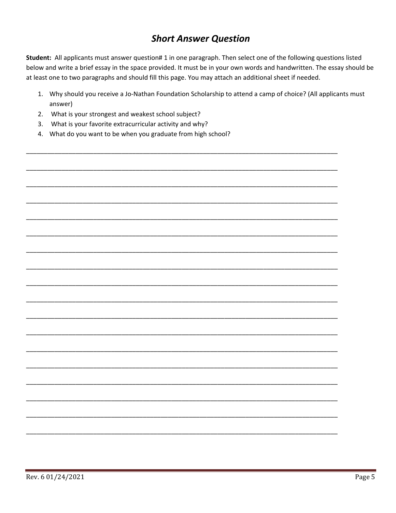## **Short Answer Question**

Student: All applicants must answer question# 1 in one paragraph. Then select one of the following questions listed below and write a brief essay in the space provided. It must be in your own words and handwritten. The essay should be at least one to two paragraphs and should fill this page. You may attach an additional sheet if needed.

- 1. Why should you receive a Jo-Nathan Foundation Scholarship to attend a camp of choice? (All applicants must answer)
- 2. What is your strongest and weakest school subject?
- 3. What is your favorite extracurricular activity and why?
- 4. What do you want to be when you graduate from high school?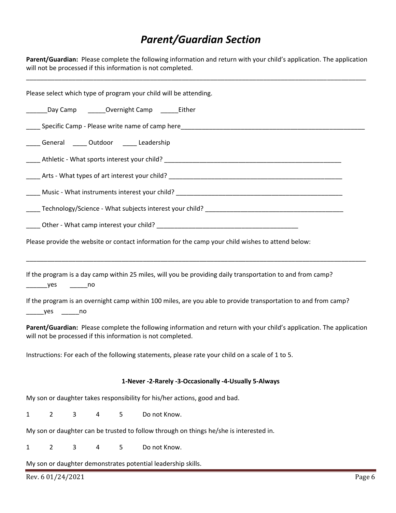# *Parent/Guardian Section*

**Parent/Guardian:** Please complete the following information and return with your child's application. The application will not be processed if this information is not completed.

\_\_\_\_\_\_\_\_\_\_\_\_\_\_\_\_\_\_\_\_\_\_\_\_\_\_\_\_\_\_\_\_\_\_\_\_\_\_\_\_\_\_\_\_\_\_\_\_\_\_\_\_\_\_\_\_\_\_\_\_\_\_\_\_\_\_\_\_\_\_\_\_\_\_\_\_\_\_\_\_\_\_\_\_\_\_\_\_\_\_\_\_\_\_\_\_

| Please select which type of program your child will be attending.                                                                                                                                                            |
|------------------------------------------------------------------------------------------------------------------------------------------------------------------------------------------------------------------------------|
| ________Day Camp __________Overnight Camp _________Either                                                                                                                                                                    |
|                                                                                                                                                                                                                              |
| _____ General ______ Outdoor ______ Leadership                                                                                                                                                                               |
|                                                                                                                                                                                                                              |
|                                                                                                                                                                                                                              |
|                                                                                                                                                                                                                              |
|                                                                                                                                                                                                                              |
|                                                                                                                                                                                                                              |
| Please provide the website or contact information for the camp your child wishes to attend below:                                                                                                                            |
| If the program is a day camp within 25 miles, will you be providing daily transportation to and from camp?<br>If the program is an overnight camp within 100 miles, are you able to provide transportation to and from camp? |
| Parent/Guardian: Please complete the following information and return with your child's application. The application<br>will not be processed if this information is not completed.                                          |
| Instructions: For each of the following statements, please rate your child on a scale of 1 to 5.                                                                                                                             |
| 1-Never -2-Rarely -3-Occasionally -4-Usually 5-Always                                                                                                                                                                        |
| My son or daughter takes responsibility for his/her actions, good and bad.                                                                                                                                                   |
| Do not Know.<br>$\overline{2}$<br>3<br>5<br>4                                                                                                                                                                                |
| My son or daughter can be trusted to follow through on things he/she is interested in.                                                                                                                                       |
| $\overline{2}$<br>3<br>5<br>Do not Know.<br>4                                                                                                                                                                                |
| My son or daughter demonstrates potential leadership skills.                                                                                                                                                                 |
| Page 6<br>Rev. 6 01/24/2021                                                                                                                                                                                                  |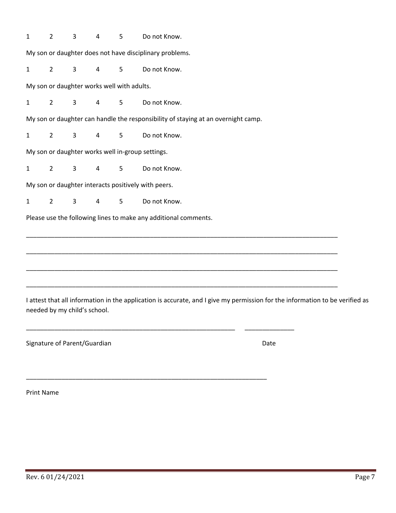| $\mathbf{1}$                               | $\overline{2}$                                   | 3 | 4              | 5              | Do not Know.                                                                                                                 |  |  |
|--------------------------------------------|--------------------------------------------------|---|----------------|----------------|------------------------------------------------------------------------------------------------------------------------------|--|--|
|                                            |                                                  |   |                |                | My son or daughter does not have disciplinary problems.                                                                      |  |  |
| $\mathbf{1}$                               | $2^{\circ}$                                      | 3 | 4              | 5 <sub>o</sub> | Do not Know.                                                                                                                 |  |  |
| My son or daughter works well with adults. |                                                  |   |                |                |                                                                                                                              |  |  |
| 1                                          | $2^{\circ}$                                      | 3 | $\overline{4}$ | 5              | Do not Know.                                                                                                                 |  |  |
|                                            |                                                  |   |                |                | My son or daughter can handle the responsibility of staying at an overnight camp.                                            |  |  |
| $\mathbf{1}$                               | $2^{\circ}$                                      | 3 | $\overline{4}$ | 5              | Do not Know.                                                                                                                 |  |  |
|                                            | My son or daughter works well in-group settings. |   |                |                |                                                                                                                              |  |  |
| $\mathbf{1}$                               | $\overline{2}$                                   | 3 | 4              | 5              | Do not Know.                                                                                                                 |  |  |
|                                            |                                                  |   |                |                | My son or daughter interacts positively with peers.                                                                          |  |  |
| $\mathbf{1}$                               | $\overline{2}$                                   | 3 | 4              | $5\phantom{.}$ | Do not Know.                                                                                                                 |  |  |
|                                            |                                                  |   |                |                | Please use the following lines to make any additional comments.                                                              |  |  |
|                                            |                                                  |   |                |                |                                                                                                                              |  |  |
|                                            |                                                  |   |                |                |                                                                                                                              |  |  |
|                                            |                                                  |   |                |                |                                                                                                                              |  |  |
|                                            |                                                  |   |                |                |                                                                                                                              |  |  |
|                                            | needed by my child's school.                     |   |                |                | I attest that all information in the application is accurate, and I give my permission for the information to be verified as |  |  |
|                                            |                                                  |   |                |                |                                                                                                                              |  |  |
|                                            | Signature of Parent/Guardian                     |   |                |                | Date                                                                                                                         |  |  |
|                                            |                                                  |   |                |                |                                                                                                                              |  |  |

Print Name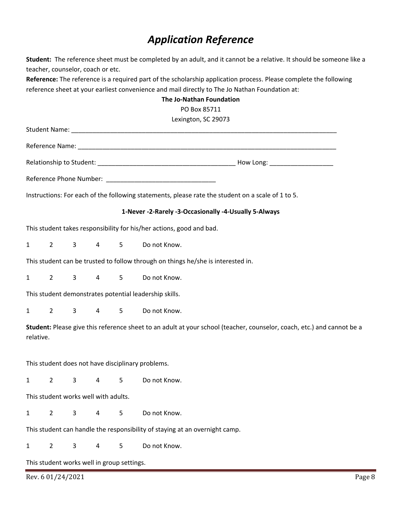# *Application Reference*

**Student:** The reference sheet must be completed by an adult, and it cannot be a relative. It should be someone like a teacher, counselor, coach or etc.

**Reference:** The reference is a required part of the scholarship application process. Please complete the following reference sheet at your earliest convenience and mail directly to The Jo Nathan Foundation at:

|              |                |                |                                      |                                            | The Jo-Nathan Foundation                                                                                               |
|--------------|----------------|----------------|--------------------------------------|--------------------------------------------|------------------------------------------------------------------------------------------------------------------------|
|              |                |                |                                      |                                            | PO Box 85711                                                                                                           |
|              |                |                |                                      |                                            | Lexington, SC 29073                                                                                                    |
|              |                |                |                                      |                                            |                                                                                                                        |
|              |                |                |                                      |                                            |                                                                                                                        |
|              |                |                |                                      |                                            |                                                                                                                        |
|              |                |                |                                      |                                            |                                                                                                                        |
|              |                |                |                                      |                                            | Instructions: For each of the following statements, please rate the student on a scale of 1 to 5.                      |
|              |                |                |                                      |                                            | 1-Never -2-Rarely -3-Occasionally -4-Usually 5-Always                                                                  |
|              |                |                |                                      |                                            | This student takes responsibility for his/her actions, good and bad.                                                   |
| 1            | $\overline{2}$ | 3              | $\overline{4}$                       | 5                                          | Do not Know.                                                                                                           |
|              |                |                |                                      |                                            | This student can be trusted to follow through on things he/she is interested in.                                       |
| $\mathbf{1}$ | $2^{\circ}$    | 3              | $\overline{4}$                       | 5 <sub>1</sub>                             | Do not Know.                                                                                                           |
|              |                |                |                                      |                                            | This student demonstrates potential leadership skills.                                                                 |
| $\mathbf{1}$ | $2^{\circ}$    | $\overline{3}$ |                                      | 4 5                                        | Do not Know.                                                                                                           |
| relative.    |                |                |                                      |                                            | Student: Please give this reference sheet to an adult at your school (teacher, counselor, coach, etc.) and cannot be a |
|              |                |                |                                      |                                            | This student does not have disciplinary problems.                                                                      |
| $\mathbf{1}$ | $2^{\circ}$    | 3              | $\overline{4}$                       | 5                                          | Do not Know.                                                                                                           |
|              |                |                | This student works well with adults. |                                            |                                                                                                                        |
| $\mathbf{1}$ | $\overline{2}$ | 3              | 4                                    | 5                                          | Do not Know.                                                                                                           |
|              |                |                |                                      |                                            | This student can handle the responsibility of staying at an overnight camp.                                            |
| $\mathbf{1}$ | $2^{\circ}$    | 3              | 4                                    | 5                                          | Do not Know.                                                                                                           |
|              |                |                |                                      | This student works well in group settings. |                                                                                                                        |